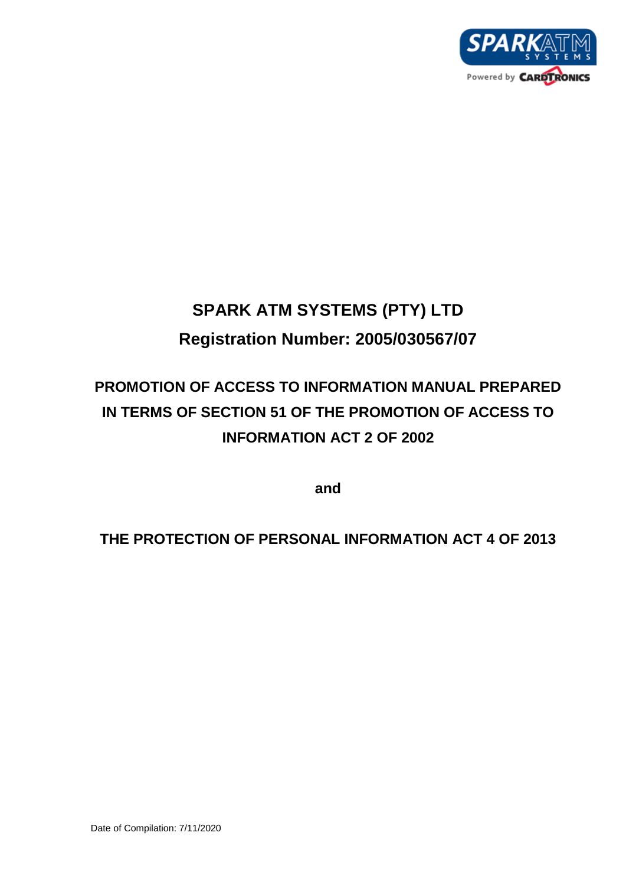

# **SPARK ATM SYSTEMS (PTY) LTD Registration Number: 2005/030567/07**

# **PROMOTION OF ACCESS TO INFORMATION MANUAL PREPARED IN TERMS OF SECTION 51 OF THE PROMOTION OF ACCESS TO INFORMATION ACT 2 OF 2002**

**and** 

**THE PROTECTION OF PERSONAL INFORMATION ACT 4 OF 2013**

Date of Compilation: 7/11/2020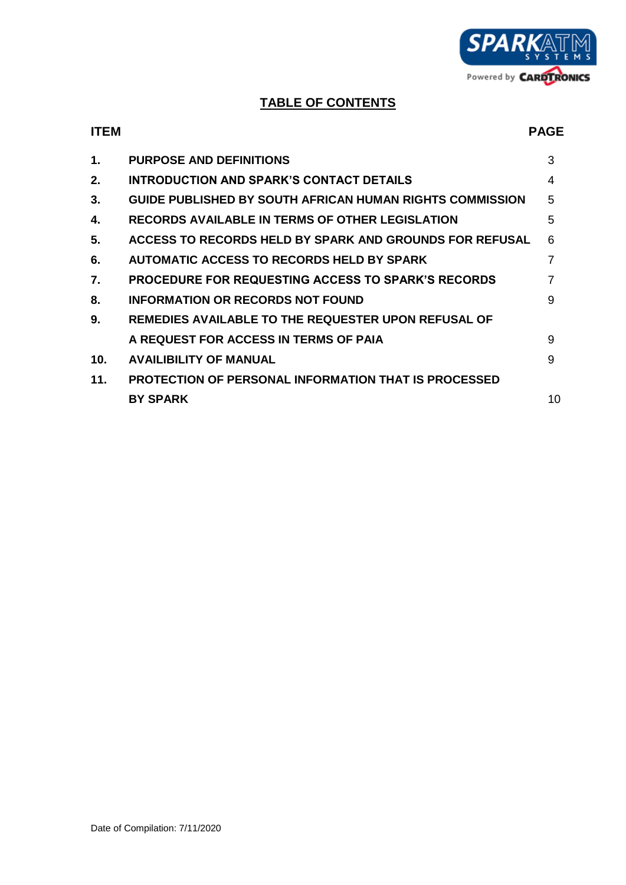

# **TABLE OF CONTENTS**

| <b>ITEM</b>     |                                                             | <b>PAGE</b> |
|-----------------|-------------------------------------------------------------|-------------|
| 1.              | <b>PURPOSE AND DEFINITIONS</b>                              | 3           |
| 2.              | <b>INTRODUCTION AND SPARK'S CONTACT DETAILS</b>             | 4           |
| 3.              | GUIDE PUBLISHED BY SOUTH AFRICAN HUMAN RIGHTS COMMISSION    | 5           |
| 4.              | <b>RECORDS AVAILABLE IN TERMS OF OTHER LEGISLATION</b>      | 5           |
| 5.              | ACCESS TO RECORDS HELD BY SPARK AND GROUNDS FOR REFUSAL     | 6           |
| 6.              | <b>AUTOMATIC ACCESS TO RECORDS HELD BY SPARK</b>            | 7           |
| 7.              | <b>PROCEDURE FOR REQUESTING ACCESS TO SPARK'S RECORDS</b>   | 7           |
| 8.              | <b>INFORMATION OR RECORDS NOT FOUND</b>                     | 9           |
| 9.              | REMEDIES AVAILABLE TO THE REQUESTER UPON REFUSAL OF         |             |
|                 | A REQUEST FOR ACCESS IN TERMS OF PAIA                       | 9           |
| 10 <sub>1</sub> | <b>AVAILIBILITY OF MANUAL</b>                               | 9           |
| 11.             | <b>PROTECTION OF PERSONAL INFORMATION THAT IS PROCESSED</b> |             |
|                 | <b>BY SPARK</b>                                             | 10          |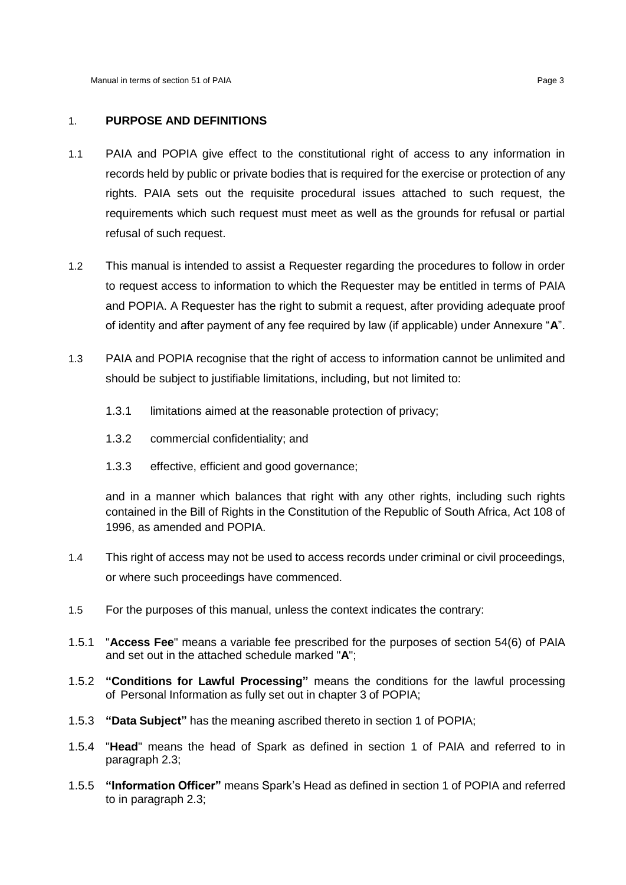# 1. **PURPOSE AND DEFINITIONS**

- 1.1 PAIA and POPIA give effect to the constitutional right of access to any information in records held by public or private bodies that is required for the exercise or protection of any rights. PAIA sets out the requisite procedural issues attached to such request, the requirements which such request must meet as well as the grounds for refusal or partial refusal of such request.
- 1.2 This manual is intended to assist a Requester regarding the procedures to follow in order to request access to information to which the Requester may be entitled in terms of PAIA and POPIA. A Requester has the right to submit a request, after providing adequate proof of identity and after payment of any fee required by law (if applicable) under Annexure "**A**".
- 1.3 PAIA and POPIA recognise that the right of access to information cannot be unlimited and should be subject to justifiable limitations, including, but not limited to:
	- 1.3.1 limitations aimed at the reasonable protection of privacy;
	- 1.3.2 commercial confidentiality; and
	- 1.3.3 effective, efficient and good governance;

and in a manner which balances that right with any other rights, including such rights contained in the Bill of Rights in the Constitution of the Republic of South Africa, Act 108 of 1996, as amended and POPIA.

- 1.4 This right of access may not be used to access records under criminal or civil proceedings, or where such proceedings have commenced.
- 1.5 For the purposes of this manual, unless the context indicates the contrary:
- 1.5.1 "**Access Fee**" means a variable fee prescribed for the purposes of section 54(6) of PAIA and set out in the attached schedule marked "**A**";
- 1.5.2 **"Conditions for Lawful Processing"** means the conditions for the lawful processing of Personal Information as fully set out in chapter 3 of POPIA;
- 1.5.3 **"Data Subject"** has the meaning ascribed thereto in section 1 of POPIA;
- 1.5.4 "**Head**" means the head of Spark as defined in section 1 of PAIA and referred to in paragraph 2.3;
- 1.5.5 **"Information Officer"** means Spark's Head as defined in section 1 of POPIA and referred to in paragraph 2.3;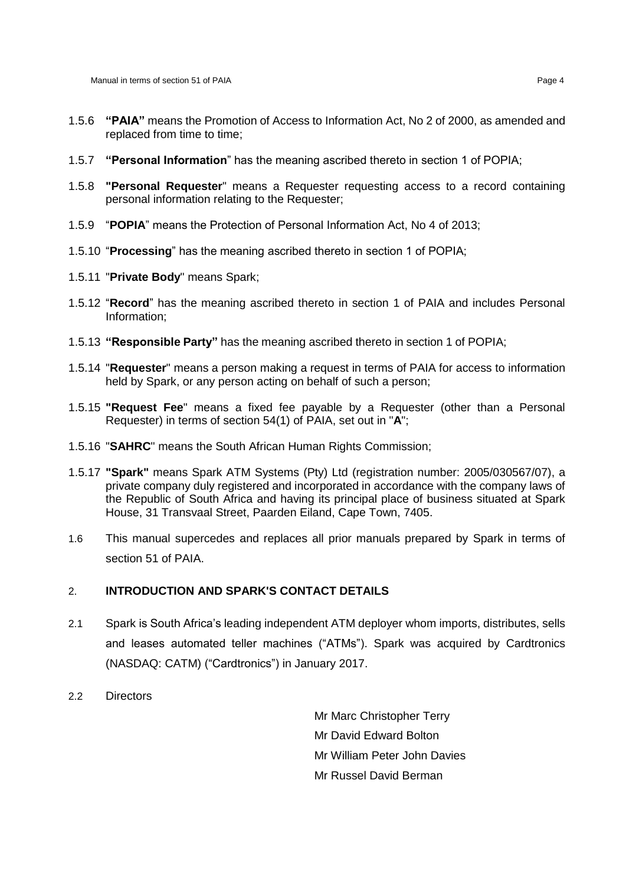- 1.5.6 **"PAIA"** means the Promotion of Access to Information Act, No 2 of 2000, as amended and replaced from time to time;
- 1.5.7 **"Personal Information**" has the meaning ascribed thereto in section 1 of POPIA;
- 1.5.8 **"Personal Requester**" means a Requester requesting access to a record containing personal information relating to the Requester;
- 1.5.9 "**POPIA**" means the Protection of Personal Information Act, No 4 of 2013;
- 1.5.10 "**Processing**" has the meaning ascribed thereto in section 1 of POPIA;
- 1.5.11 "**Private Body**" means Spark;
- 1.5.12 "**Record**" has the meaning ascribed thereto in section 1 of PAIA and includes Personal Information;
- 1.5.13 **"Responsible Party"** has the meaning ascribed thereto in section 1 of POPIA;
- 1.5.14 "**Requester**" means a person making a request in terms of PAIA for access to information held by Spark, or any person acting on behalf of such a person;
- 1.5.15 **"Request Fee**" means a fixed fee payable by a Requester (other than a Personal Requester) in terms of section 54(1) of PAIA, set out in "**A**";
- 1.5.16 "**SAHRC**" means the South African Human Rights Commission;
- 1.5.17 **"Spark"** means Spark ATM Systems (Pty) Ltd (registration number: 2005/030567/07), a private company duly registered and incorporated in accordance with the company laws of the Republic of South Africa and having its principal place of business situated at Spark House, 31 Transvaal Street, Paarden Eiland, Cape Town, 7405.
- 1.6 This manual supercedes and replaces all prior manuals prepared by Spark in terms of section 51 of PAIA.

#### <span id="page-3-0"></span>2. **INTRODUCTION AND SPARK'S CONTACT DETAILS**

- 2.1 Spark is South Africa's leading independent ATM deployer whom imports, distributes, sells and leases automated teller machines ("ATMs"). Spark was acquired by Cardtronics (NASDAQ: CATM) ("Cardtronics") in January 2017.
- 2.2 Directors

Mr Marc Christopher Terry Mr David Edward Bolton Mr William Peter John Davies Mr Russel David Berman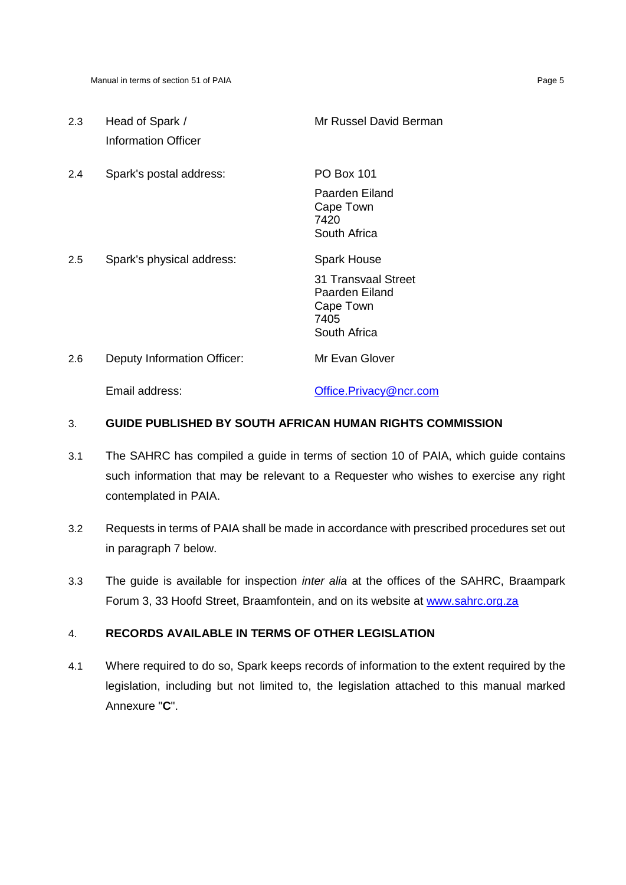| 2.3 | Head of Spark /<br>Information Officer | Mr Russel David Berman                                                                           |
|-----|----------------------------------------|--------------------------------------------------------------------------------------------------|
| 2.4 | Spark's postal address:                | <b>PO Box 101</b><br>Paarden Eiland<br>Cape Town<br>7420<br>South Africa                         |
| 2.5 | Spark's physical address:              | <b>Spark House</b><br>31 Transvaal Street<br>Paarden Eiland<br>Cape Town<br>7405<br>South Africa |
| 2.6 | Deputy Information Officer:            | Mr Evan Glover                                                                                   |
|     | Email address:                         | Office.Privacy@ncr.com                                                                           |

# 3. **GUIDE PUBLISHED BY SOUTH AFRICAN HUMAN RIGHTS COMMISSION**

- 3.1 The SAHRC has compiled a guide in terms of section 10 of PAIA, which guide contains such information that may be relevant to a Requester who wishes to exercise any right contemplated in PAIA.
- 3.2 Requests in terms of PAIA shall be made in accordance with prescribed procedures set out in paragraph 7 below.
- 3.3 The guide is available for inspection *inter alia* at the offices of the SAHRC, Braampark Forum 3, 33 Hoofd Street, Braamfontein, and on its website at [www.sahrc.org.za](http://www.sahrc.org.za/)

# 4. **RECORDS AVAILABLE IN TERMS OF OTHER LEGISLATION**

4.1 Where required to do so, Spark keeps records of information to the extent required by the legislation, including but not limited to, the legislation attached to this manual marked Annexure "**C**".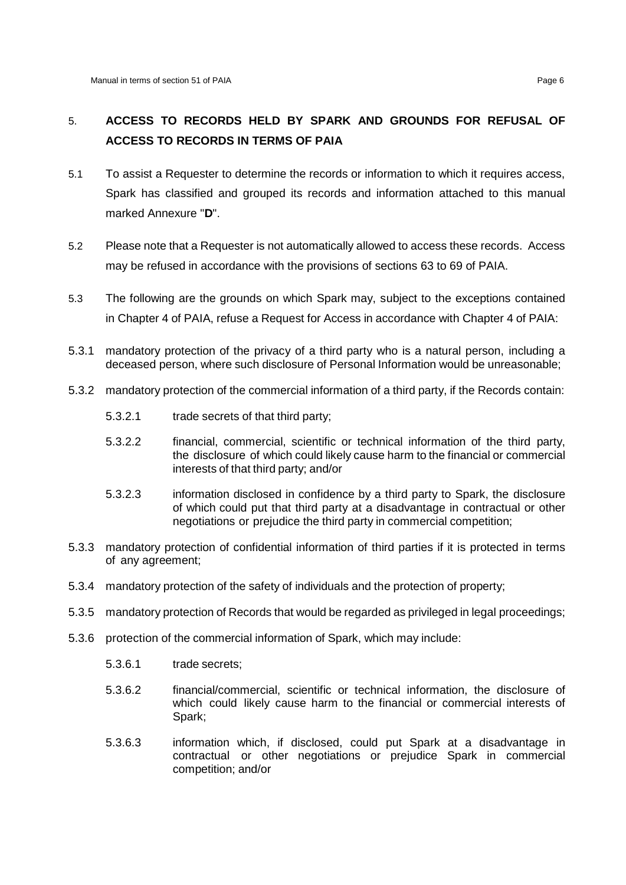# 5. **ACCESS TO RECORDS HELD BY SPARK AND GROUNDS FOR REFUSAL OF ACCESS TO RECORDS IN TERMS OF PAIA**

- 5.1 To assist a Requester to determine the records or information to which it requires access, Spark has classified and grouped its records and information attached to this manual marked Annexure "**D**".
- 5.2 Please note that a Requester is not automatically allowed to access these records. Access may be refused in accordance with the provisions of sections 63 to 69 of PAIA.
- 5.3 The following are the grounds on which Spark may, subject to the exceptions contained in Chapter 4 of PAIA, refuse a Request for Access in accordance with Chapter 4 of PAIA:
- 5.3.1 mandatory protection of the privacy of a third party who is a natural person, including a deceased person, where such disclosure of Personal Information would be unreasonable;
- 5.3.2 mandatory protection of the commercial information of a third party, if the Records contain:
	- 5.3.2.1 trade secrets of that third party;
	- 5.3.2.2 financial, commercial, scientific or technical information of the third party, the disclosure of which could likely cause harm to the financial or commercial interests of that third party; and/or
	- 5.3.2.3 information disclosed in confidence by a third party to Spark, the disclosure of which could put that third party at a disadvantage in contractual or other negotiations or prejudice the third party in commercial competition;
- 5.3.3 mandatory protection of confidential information of third parties if it is protected in terms of any agreement;
- 5.3.4 mandatory protection of the safety of individuals and the protection of property;
- 5.3.5 mandatory protection of Records that would be regarded as privileged in legal proceedings;
- 5.3.6 protection of the commercial information of Spark, which may include:
	- 5.3.6.1 trade secrets;
	- 5.3.6.2 financial/commercial, scientific or technical information, the disclosure of which could likely cause harm to the financial or commercial interests of Spark;
	- 5.3.6.3 information which, if disclosed, could put Spark at a disadvantage in contractual or other negotiations or prejudice Spark in commercial competition; and/or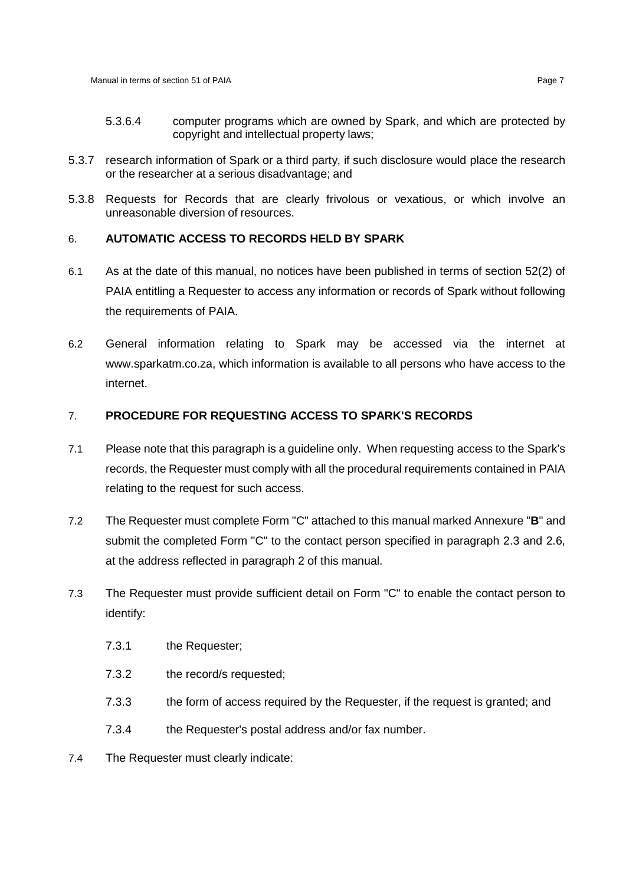- 5.3.6.4 computer programs which are owned by Spark, and which are protected by copyright and intellectual property laws;
- 5.3.7 research information of Spark or a third party, if such disclosure would place the research or the researcher at a serious disadvantage; and
- 5.3.8 Requests for Records that are clearly frivolous or vexatious, or which involve an unreasonable diversion of resources.

# 6. **AUTOMATIC ACCESS TO RECORDS HELD BY SPARK**

- 6.1 As at the date of this manual, no notices have been published in terms of section 52(2) of PAIA entitling a Requester to access any information or records of Spark without following the requirements of PAIA.
- 6.2 General information relating to Spark may be accessed via the internet at www.sparkatm.co.za, which information is available to all persons who have access to the internet.

# 7. **PROCEDURE FOR REQUESTING ACCESS TO SPARK'S RECORDS**

- 7.1 Please note that this paragraph is a guideline only. When requesting access to the Spark's records, the Requester must comply with all the procedural requirements contained in PAIA relating to the request for such access.
- 7.2 The Requester must complete Form "C" attached to this manual marked Annexure "**B**" and submit the completed Form "C" to the contact person specified in paragraph 2.3 and 2.6, at the address reflected in paragraph [2](#page-3-0) of this manual.
- 7.3 The Requester must provide sufficient detail on Form "C" to enable the contact person to identify:
	- 7.3.1 the Requester;
	- 7.3.2 the record/s requested;
	- 7.3.3 the form of access required by the Requester, if the request is granted; and
	- 7.3.4 the Requester's postal address and/or fax number.
- 7.4 The Requester must clearly indicate: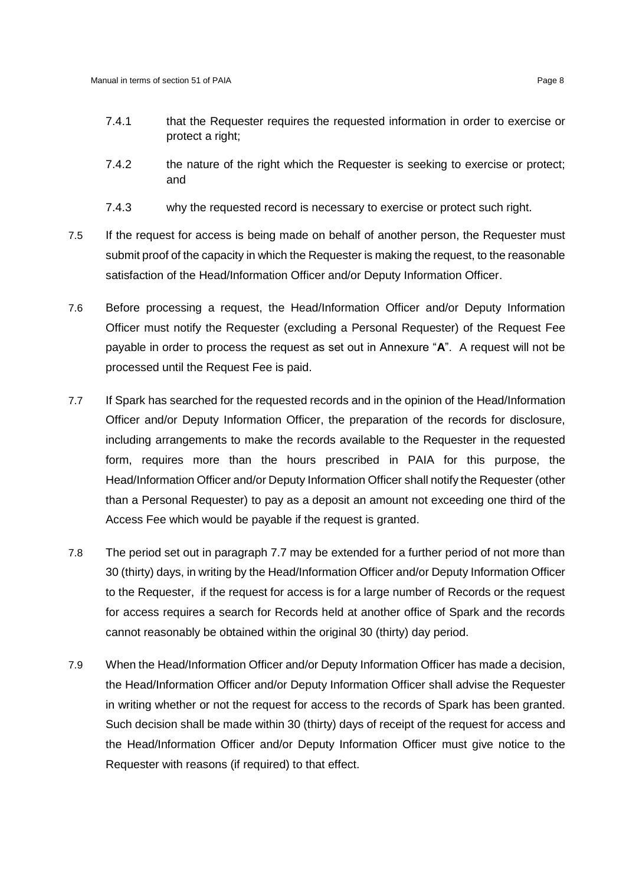- 7.4.1 that the Requester requires the requested information in order to exercise or protect a right;
- 7.4.2 the nature of the right which the Requester is seeking to exercise or protect; and
- 7.4.3 why the requested record is necessary to exercise or protect such right.
- 7.5 If the request for access is being made on behalf of another person, the Requester must submit proof of the capacity in which the Requester is making the request, to the reasonable satisfaction of the Head/Information Officer and/or Deputy Information Officer.
- 7.6 Before processing a request, the Head/Information Officer and/or Deputy Information Officer must notify the Requester (excluding a Personal Requester) of the Request Fee payable in order to process the request as set out in Annexure "**A**". A request will not be processed until the Request Fee is paid.
- 7.7 If Spark has searched for the requested records and in the opinion of the Head/Information Officer and/or Deputy Information Officer, the preparation of the records for disclosure, including arrangements to make the records available to the Requester in the requested form, requires more than the hours prescribed in PAIA for this purpose, the Head/Information Officer and/or Deputy Information Officer shall notify the Requester (other than a Personal Requester) to pay as a deposit an amount not exceeding one third of the Access Fee which would be payable if the request is granted.
- 7.8 The period set out in paragraph 7.7 may be extended for a further period of not more than 30 (thirty) days, in writing by the Head/Information Officer and/or Deputy Information Officer to the Requester, if the request for access is for a large number of Records or the request for access requires a search for Records held at another office of Spark and the records cannot reasonably be obtained within the original 30 (thirty) day period.
- 7.9 When the Head/Information Officer and/or Deputy Information Officer has made a decision, the Head/Information Officer and/or Deputy Information Officer shall advise the Requester in writing whether or not the request for access to the records of Spark has been granted. Such decision shall be made within 30 (thirty) days of receipt of the request for access and the Head/Information Officer and/or Deputy Information Officer must give notice to the Requester with reasons (if required) to that effect.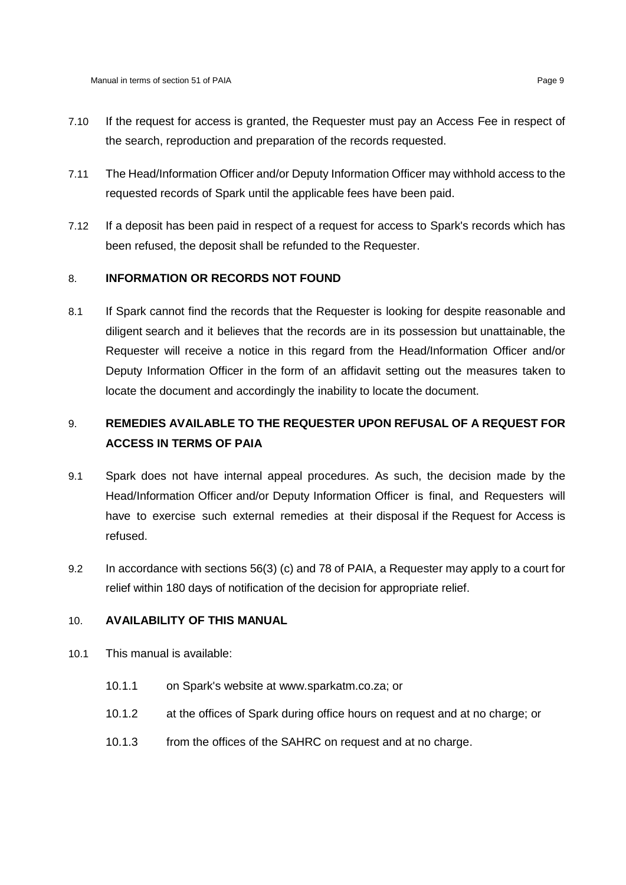- 7.10 If the request for access is granted, the Requester must pay an Access Fee in respect of the search, reproduction and preparation of the records requested.
- 7.11 The Head/Information Officer and/or Deputy Information Officer may withhold access to the requested records of Spark until the applicable fees have been paid.
- 7.12 If a deposit has been paid in respect of a request for access to Spark's records which has been refused, the deposit shall be refunded to the Requester.

# 8. **INFORMATION OR RECORDS NOT FOUND**

8.1 If Spark cannot find the records that the Requester is looking for despite reasonable and diligent search and it believes that the records are in its possession but unattainable, the Requester will receive a notice in this regard from the Head/Information Officer and/or Deputy Information Officer in the form of an affidavit setting out the measures taken to locate the document and accordingly the inability to locate the document.

# 9. **REMEDIES AVAILABLE TO THE REQUESTER UPON REFUSAL OF A REQUEST FOR ACCESS IN TERMS OF PAIA**

- 9.1 Spark does not have internal appeal procedures. As such, the decision made by the Head/Information Officer and/or Deputy Information Officer is final, and Requesters will have to exercise such external remedies at their disposal if the Request for Access is refused.
- 9.2 In accordance with sections 56(3) (c) and 78 of PAIA, a Requester may apply to a court for relief within 180 days of notification of the decision for appropriate relief.

#### 10. **AVAILABILITY OF THIS MANUAL**

- 10.1 This manual is available:
	- 10.1.1 on Spark's website at www.sparkatm.co.za; or
	- 10.1.2 at the offices of Spark during office hours on request and at no charge; or
	- 10.1.3 from the offices of the SAHRC on request and at no charge.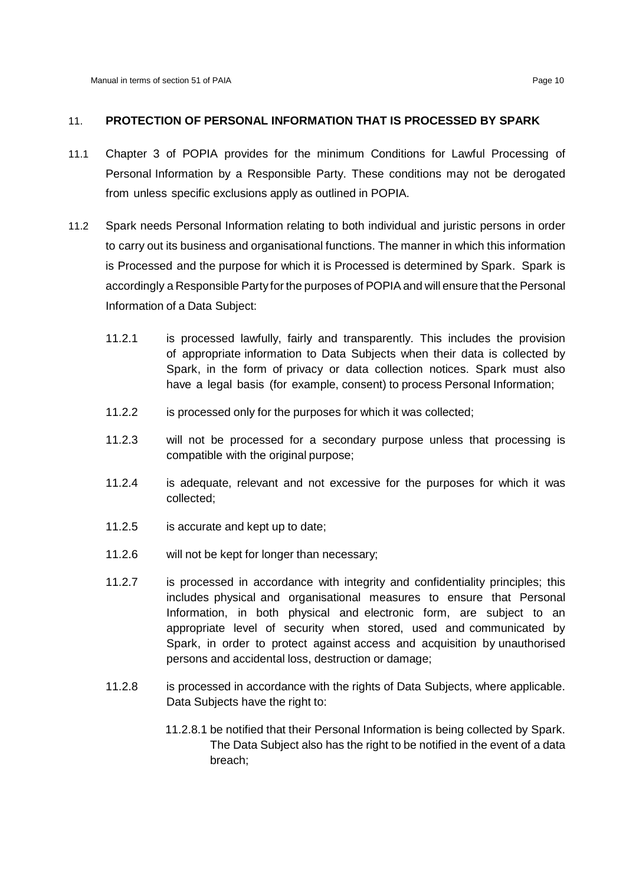## 11. **PROTECTION OF PERSONAL INFORMATION THAT IS PROCESSED BY SPARK**

- 11.1 Chapter 3 of POPIA provides for the minimum Conditions for Lawful Processing of Personal Information by a Responsible Party. These conditions may not be derogated from unless specific exclusions apply as outlined in POPIA.
- 11.2 Spark needs Personal Information relating to both individual and juristic persons in order to carry out its business and organisational functions. The manner in which this information is Processed and the purpose for which it is Processed is determined by Spark. Spark is accordingly a Responsible Party for the purposes of POPIA and will ensure that the Personal Information of a Data Subject:
	- 11.2.1 is processed lawfully, fairly and transparently. This includes the provision of appropriate information to Data Subjects when their data is collected by Spark, in the form of privacy or data collection notices. Spark must also have a legal basis (for example, consent) to process Personal Information;
	- 11.2.2 is processed only for the purposes for which it was collected;
	- 11.2.3 will not be processed for a secondary purpose unless that processing is compatible with the original purpose;
	- 11.2.4 is adequate, relevant and not excessive for the purposes for which it was collected;
	- 11.2.5 is accurate and kept up to date;
	- 11.2.6 will not be kept for longer than necessary;
	- 11.2.7 is processed in accordance with integrity and confidentiality principles; this includes physical and organisational measures to ensure that Personal Information, in both physical and electronic form, are subject to an appropriate level of security when stored, used and communicated by Spark, in order to protect against access and acquisition by unauthorised persons and accidental loss, destruction or damage;
	- 11.2.8 is processed in accordance with the rights of Data Subjects, where applicable. Data Subjects have the right to:
		- 11.2.8.1 be notified that their Personal Information is being collected by Spark. The Data Subject also has the right to be notified in the event of a data breach;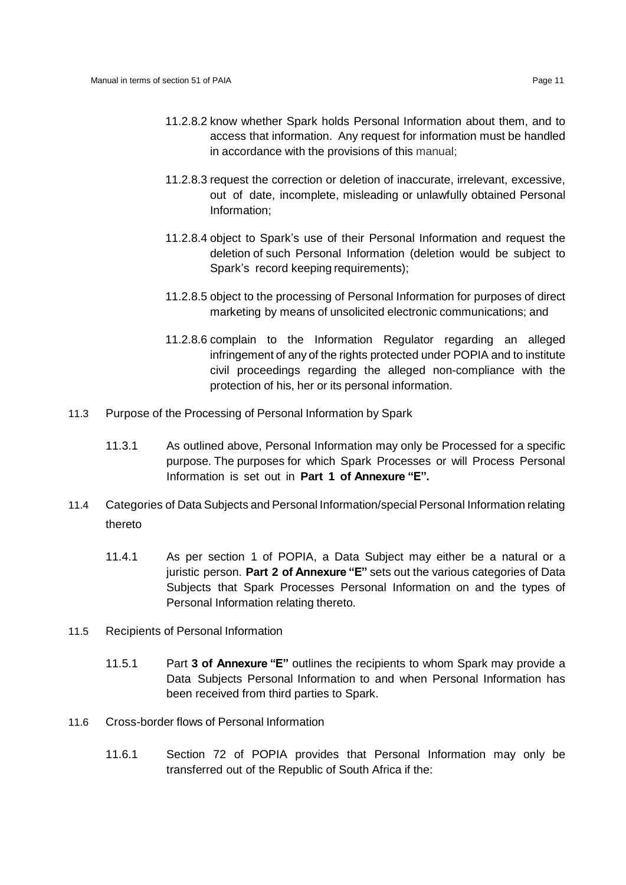- 11.2.8.2 know whether Spark holds Personal Information about them, and to access that information. Any request for information must be handled in accordance with the provisions of this manual;
- 11.2.8.3 request the correction or deletion of inaccurate, irrelevant, excessive, out of date, incomplete, misleading or unlawfully obtained Personal Information;
- 11.2.8.4 object to Spark's use of their Personal Information and request the deletion of such Personal Information (deletion would be subject to Spark's record keeping requirements);
- 11.2.8.5 object to the processing of Personal Information for purposes of direct marketing by means of unsolicited electronic communications; and
- 11.2.8.6 complain to the Information Regulator regarding an alleged infringement of any of the rights protected under POPIA and to institute civil proceedings regarding the alleged non-compliance with the protection of his, her or its personal information.
- 11.3 Purpose of the Processing of Personal Information by Spark
	- 11.3.1 As outlined above, Personal Information may only be Processed for a specific purpose. The purposes for which Spark Processes or will Process Personal Information is set out in **Part 1 of Annexure "E".**
- 11.4 Categories of Data Subjects and Personal Information/special Personal Information relating thereto
	- 11.4.1 As per section 1 of POPIA, a Data Subject may either be a natural or a juristic person. **Part 2 of Annexure "E"** sets out the various categories of Data Subjects that Spark Processes Personal Information on and the types of Personal Information relating thereto.
- 11.5 Recipients of Personal Information
	- 11.5.1 Part **3 of Annexure "E"** outlines the recipients to whom Spark may provide a Data Subjects Personal Information to and when Personal Information has been received from third parties to Spark.
- 11.6 Cross-border flows of Personal Information
	- 11.6.1 Section 72 of POPIA provides that Personal Information may only be transferred out of the Republic of South Africa if the: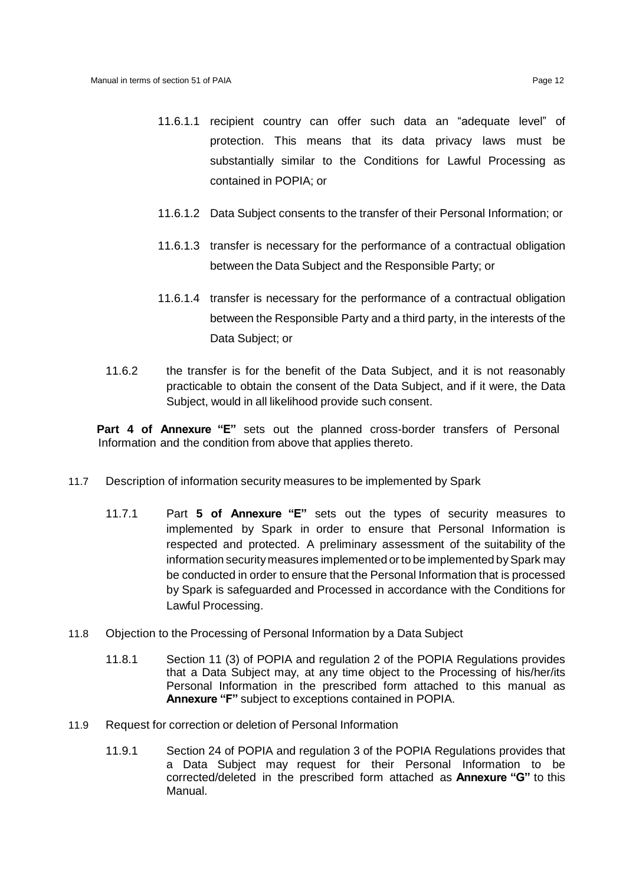- 11.6.1.1 recipient country can offer such data an "adequate level" of protection. This means that its data privacy laws must be substantially similar to the Conditions for Lawful Processing as contained in POPIA; or
- 11.6.1.2 Data Subject consents to the transfer of their Personal Information; or
- 11.6.1.3 transfer is necessary for the performance of a contractual obligation between the Data Subject and the Responsible Party; or
- 11.6.1.4 transfer is necessary for the performance of a contractual obligation between the Responsible Party and a third party, in the interests of the Data Subject; or
- 11.6.2 the transfer is for the benefit of the Data Subject, and it is not reasonably practicable to obtain the consent of the Data Subject, and if it were, the Data Subject, would in all likelihood provide such consent.

**Part 4 of Annexure "E"** sets out the planned cross-border transfers of Personal Information and the condition from above that applies thereto.

- 11.7 Description of information security measures to be implemented by Spark
	- 11.7.1 Part **5 of Annexure "E"** sets out the types of security measures to implemented by Spark in order to ensure that Personal Information is respected and protected. A preliminary assessment of the suitability of the information security measures implemented or to be implemented by Spark may be conducted in order to ensure that the Personal Information that is processed by Spark is safeguarded and Processed in accordance with the Conditions for Lawful Processing.
- 11.8 Objection to the Processing of Personal Information by a Data Subject
	- 11.8.1 Section 11 (3) of POPIA and regulation 2 of the POPIA Regulations provides that a Data Subject may, at any time object to the Processing of his/her/its Personal Information in the prescribed form attached to this manual as **Annexure "F"** subject to exceptions contained in POPIA.
- 11.9 Request for correction or deletion of Personal Information
	- 11.9.1 Section 24 of POPIA and regulation 3 of the POPIA Regulations provides that a Data Subject may request for their Personal Information to be corrected/deleted in the prescribed form attached as **Annexure "G"** to this Manual.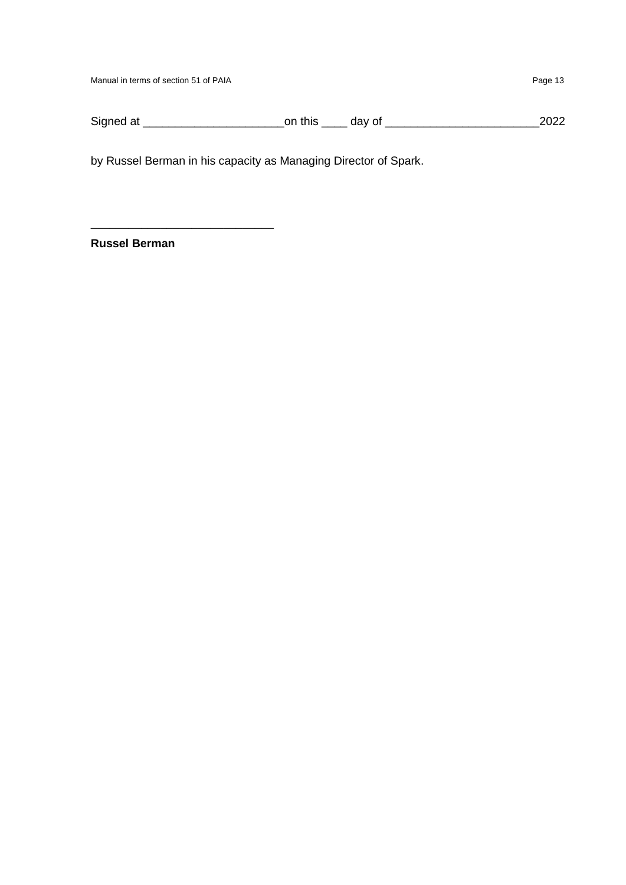Manual in terms of section 51 of PAIA Page 13

Signed at \_\_\_\_\_\_\_\_\_\_\_\_\_\_\_\_\_\_\_\_\_\_on this \_\_\_\_ day of \_\_\_\_\_\_\_\_\_\_\_\_\_\_\_\_\_\_\_\_\_\_\_\_2022

by Russel Berman in his capacity as Managing Director of Spark.

**Russel Berman**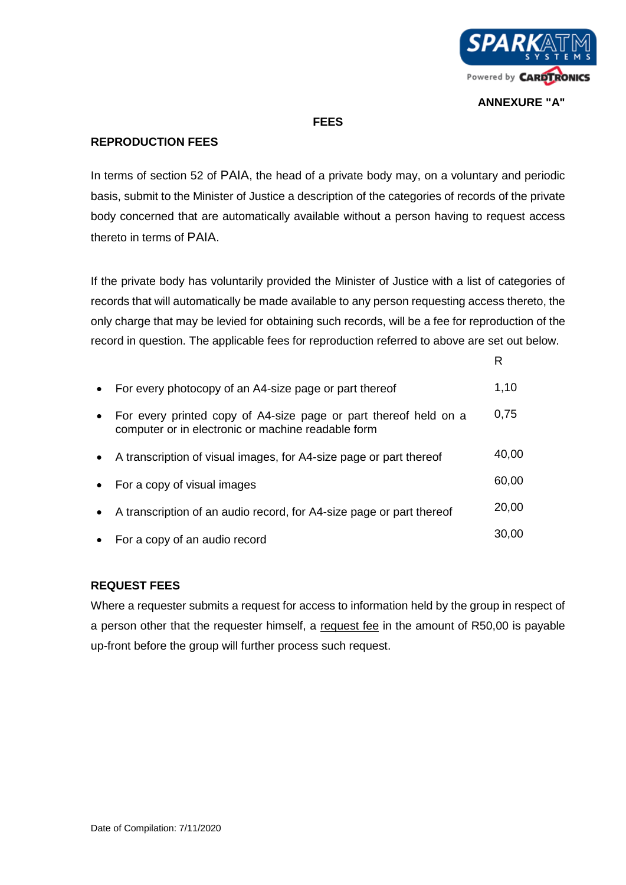

# **ANNEXURE "A"**

R

# **FEES**

# **REPRODUCTION FEES**

In terms of section 52 of PAIA, the head of a private body may, on a voluntary and periodic basis, submit to the Minister of Justice a description of the categories of records of the private body concerned that are automatically available without a person having to request access thereto in terms of PAIA.

If the private body has voluntarily provided the Minister of Justice with a list of categories of records that will automatically be made available to any person requesting access thereto, the only charge that may be levied for obtaining such records, will be a fee for reproduction of the record in question. The applicable fees for reproduction referred to above are set out below.

| $\bullet$ | For every photocopy of an A4-size page or part thereof                                                                 | 1,10  |
|-----------|------------------------------------------------------------------------------------------------------------------------|-------|
|           | For every printed copy of A4-size page or part thereof held on a<br>computer or in electronic or machine readable form | 0,75  |
| $\bullet$ | A transcription of visual images, for A4-size page or part thereof                                                     | 40,00 |
|           | For a copy of visual images                                                                                            | 60,00 |
|           | A transcription of an audio record, for A4-size page or part thereof                                                   | 20,00 |
| $\bullet$ | For a copy of an audio record                                                                                          | 30.00 |

# **REQUEST FEES**

Where a requester submits a request for access to information held by the group in respect of a person other that the requester himself, a request fee in the amount of R50,00 is payable up-front before the group will further process such request.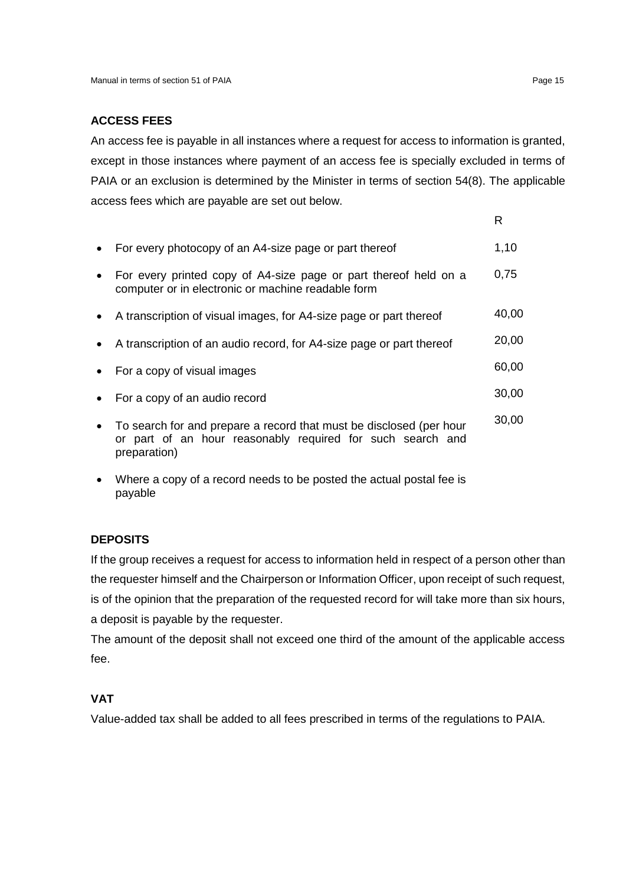# **ACCESS FEES**

An access fee is payable in all instances where a request for access to information is granted, except in those instances where payment of an access fee is specially excluded in terms of PAIA or an exclusion is determined by the Minister in terms of section 54(8). The applicable access fees which are payable are set out below.

|           | For every photocopy of an A4-size page or part thereof                                                                                            | 1,10  |
|-----------|---------------------------------------------------------------------------------------------------------------------------------------------------|-------|
|           | For every printed copy of A4-size page or part thereof held on a<br>computer or in electronic or machine readable form                            | 0,75  |
| $\bullet$ | A transcription of visual images, for A4-size page or part thereof                                                                                | 40,00 |
|           | A transcription of an audio record, for A4-size page or part thereof                                                                              | 20,00 |
| $\bullet$ | For a copy of visual images                                                                                                                       | 60,00 |
| $\bullet$ | For a copy of an audio record                                                                                                                     | 30,00 |
| $\bullet$ | To search for and prepare a record that must be disclosed (per hour<br>or part of an hour reasonably required for such search and<br>preparation) | 30,00 |
|           |                                                                                                                                                   |       |

 Where a copy of a record needs to be posted the actual postal fee is payable

# **DEPOSITS**

If the group receives a request for access to information held in respect of a person other than the requester himself and the Chairperson or Information Officer, upon receipt of such request, is of the opinion that the preparation of the requested record for will take more than six hours, a deposit is payable by the requester.

The amount of the deposit shall not exceed one third of the amount of the applicable access fee.

# **VAT**

Value-added tax shall be added to all fees prescribed in terms of the regulations to PAIA.

R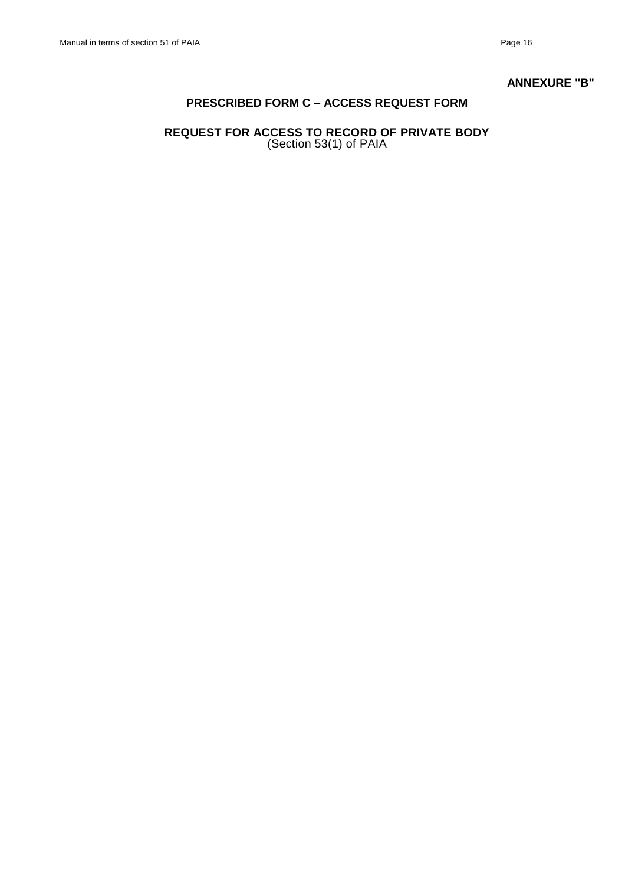#### **ANNEXURE "B"**

# **PRESCRIBED FORM C – ACCESS REQUEST FORM**

# **REQUEST FOR ACCESS TO RECORD OF PRIVATE BODY**  (Section 53(1) of PAIA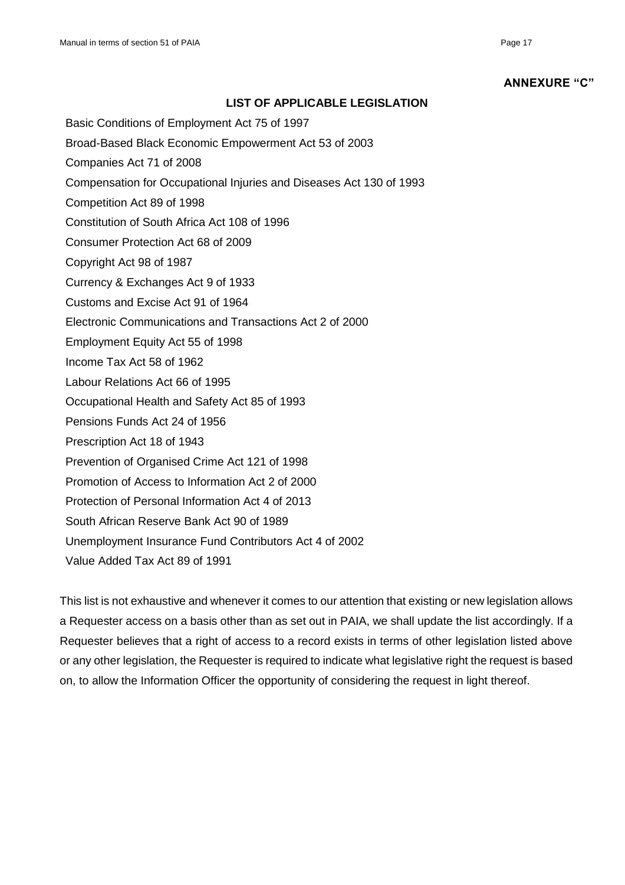#### **ANNEXURE "C"**

### **LIST OF APPLICABLE LEGISLATION**

- Basic Conditions of Employment Act 75 of 1997
- Broad-Based Black Economic Empowerment Act 53 of 2003
- Companies Act 71 of 2008
- Compensation for Occupational Injuries and Diseases Act 130 of 1993
- Competition Act 89 of 1998
- Constitution of South Africa Act 108 of 1996
- Consumer Protection Act 68 of 2009
- Copyright Act 98 of 1987
- Currency & Exchanges Act 9 of 1933
- Customs and Excise Act 91 of 1964
- Electronic Communications and Transactions Act 2 of 2000
- Employment Equity Act 55 of 1998
- Income Tax Act 58 of 1962
- Labour Relations Act 66 of 1995
- Occupational Health and Safety Act 85 of 1993
- Pensions Funds Act 24 of 1956
- Prescription Act 18 of 1943
- Prevention of Organised Crime Act 121 of 1998
- Promotion of Access to Information Act 2 of 2000
- Protection of Personal Information Act 4 of 2013
- South African Reserve Bank Act 90 of 1989
- Unemployment Insurance Fund Contributors Act 4 of 2002
- Value Added Tax Act 89 of 1991

This list is not exhaustive and whenever it comes to our attention that existing or new legislation allows a Requester access on a basis other than as set out in PAIA, we shall update the list accordingly. If a Requester believes that a right of access to a record exists in terms of other legislation listed above or any other legislation, the Requester is required to indicate what legislative right the request is based on, to allow the Information Officer the opportunity of considering the request in light thereof.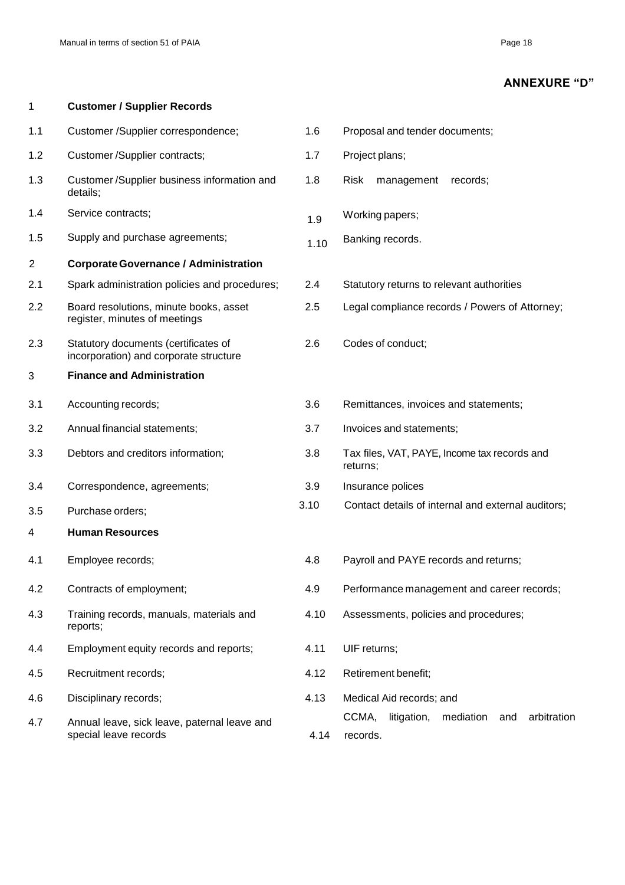1 **Customer / Supplier Records**

# **ANNEXURE "D"**

| 1.1 | Customer /Supplier correspondence;                                             | 1.6  | Proposal and tender documents;                                      |
|-----|--------------------------------------------------------------------------------|------|---------------------------------------------------------------------|
| 1.2 | Customer/Supplier contracts;                                                   | 1.7  | Project plans;                                                      |
| 1.3 | Customer/Supplier business information and<br>details;                         | 1.8  | <b>Risk</b><br>management<br>records;                               |
| 1.4 | Service contracts;                                                             | 1.9  | Working papers;                                                     |
| 1.5 | Supply and purchase agreements;                                                | 1.10 | Banking records.                                                    |
| 2   | <b>Corporate Governance / Administration</b>                                   |      |                                                                     |
| 2.1 | Spark administration policies and procedures;                                  | 2.4  | Statutory returns to relevant authorities                           |
| 2.2 | Board resolutions, minute books, asset<br>register, minutes of meetings        | 2.5  | Legal compliance records / Powers of Attorney;                      |
| 2.3 | Statutory documents (certificates of<br>incorporation) and corporate structure | 2.6  | Codes of conduct;                                                   |
| 3   | <b>Finance and Administration</b>                                              |      |                                                                     |
| 3.1 | Accounting records;                                                            | 3.6  | Remittances, invoices and statements;                               |
| 3.2 | Annual financial statements;                                                   | 3.7  | Invoices and statements;                                            |
| 3.3 | Debtors and creditors information;                                             | 3.8  | Tax files, VAT, PAYE, Income tax records and<br>returns;            |
| 3.4 | Correspondence, agreements;                                                    | 3.9  | Insurance polices                                                   |
| 3.5 | Purchase orders;                                                               | 3.10 | Contact details of internal and external auditors;                  |
| 4   | <b>Human Resources</b>                                                         |      |                                                                     |
| 4.1 | Employee records;                                                              | 4.8  | Payroll and PAYE records and returns;                               |
| 4.2 | Contracts of employment;                                                       | 4.9  | Performance management and career records;                          |
| 4.3 | Training records, manuals, materials and<br>reports;                           | 4.10 | Assessments, policies and procedures;                               |
| 4.4 | Employment equity records and reports;                                         | 4.11 | UIF returns;                                                        |
| 4.5 | Recruitment records;                                                           | 4.12 | Retirement benefit;                                                 |
| 4.6 | Disciplinary records;                                                          | 4.13 | Medical Aid records; and                                            |
| 4.7 | Annual leave, sick leave, paternal leave and<br>special leave records          | 4.14 | CCMA,<br>litigation,<br>arbitration<br>mediation<br>and<br>records. |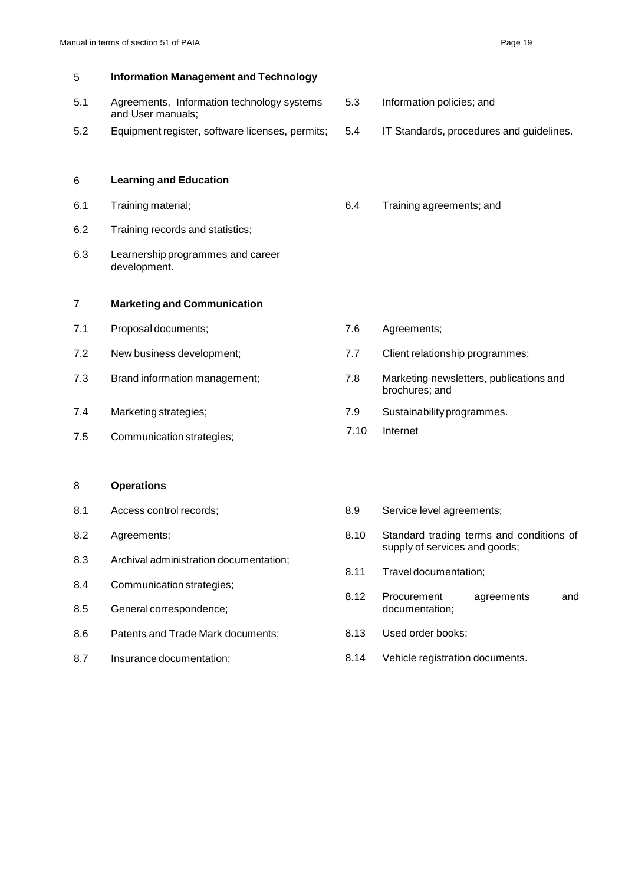| 5   | <b>Information Management and Technology</b>                    |                 |                                                                           |
|-----|-----------------------------------------------------------------|-----------------|---------------------------------------------------------------------------|
| 5.1 | Agreements, Information technology systems<br>and User manuals; | 5.3             | Information policies; and                                                 |
| 5.2 | Equipment register, software licenses, permits;                 | 5.4             | IT Standards, procedures and guidelines.                                  |
| 6   | <b>Learning and Education</b>                                   |                 |                                                                           |
| 6.1 | Training material;                                              | 6.4             | Training agreements; and                                                  |
| 6.2 | Training records and statistics;                                |                 |                                                                           |
| 6.3 | Learnership programmes and career<br>development.               |                 |                                                                           |
| 7   | <b>Marketing and Communication</b>                              |                 |                                                                           |
| 7.1 | Proposal documents;                                             | 7.6             | Agreements;                                                               |
| 7.2 | New business development;                                       | 7.7             | Client relationship programmes;                                           |
| 7.3 | Brand information management;                                   | 7.8             | Marketing newsletters, publications and<br>brochures; and                 |
| 7.4 | Marketing strategies;                                           | 7.9             | Sustainability programmes.                                                |
| 7.5 | Communication strategies;                                       | 7.10            | Internet                                                                  |
|     |                                                                 |                 |                                                                           |
| 8   | <b>Operations</b>                                               |                 |                                                                           |
| 8.1 | Access control records;                                         | 8.9             | Service level agreements;                                                 |
| 8.2 | Agreements;                                                     | 8.10            | Standard trading terms and conditions of<br>supply of services and goods; |
| 8.3 | Archival administration documentation;                          | 8.11            | Travel documentation;                                                     |
| 8.4 | Communication strategies;                                       | R <sub>12</sub> | Procurement<br>agreements<br>and                                          |

- 8.5 General correspondence; documentation;
- 8.6 Patents and Trade Mark documents; 8.13 Used order books;
- 
- 8.12 Procurement agreements and
- 
- 8.7 Insurance documentation; entitled and the Sandy Vehicle registration documents.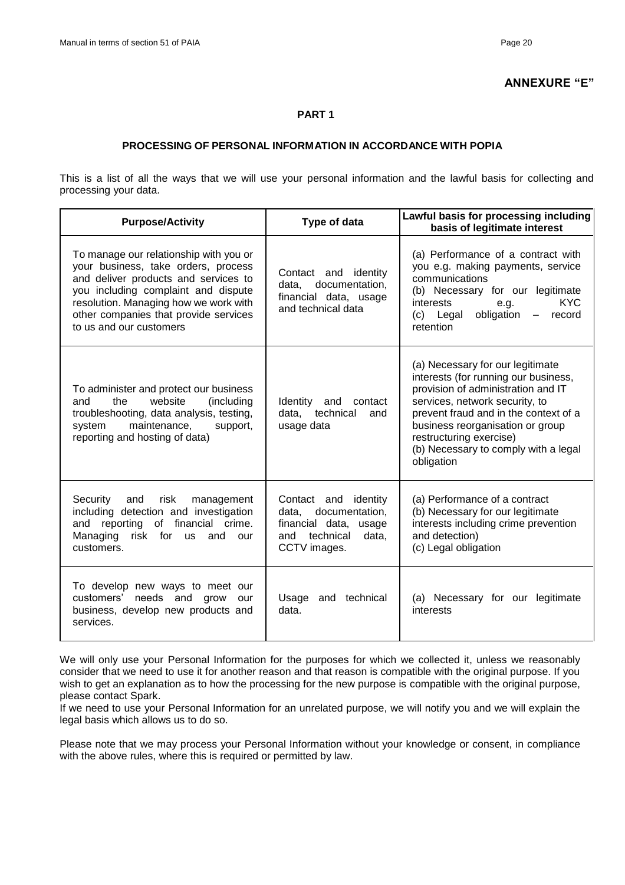### **ANNEXURE "E"**

#### **PART 1**

### **PROCESSING OF PERSONAL INFORMATION IN ACCORDANCE WITH POPIA**

This is a list of all the ways that we will use your personal information and the lawful basis for collecting and processing your data.

| <b>Purpose/Activity</b>                                                                                                                                                                                                                                                   | Type of data                                                                                                          | Lawful basis for processing including<br>basis of legitimate interest                                                                                                                                                                                                                                          |
|---------------------------------------------------------------------------------------------------------------------------------------------------------------------------------------------------------------------------------------------------------------------------|-----------------------------------------------------------------------------------------------------------------------|----------------------------------------------------------------------------------------------------------------------------------------------------------------------------------------------------------------------------------------------------------------------------------------------------------------|
| To manage our relationship with you or<br>your business, take orders, process<br>and deliver products and services to<br>you including complaint and dispute<br>resolution. Managing how we work with<br>other companies that provide services<br>to us and our customers | Contact and identity<br>data, documentation,<br>financial data, usage<br>and technical data                           | (a) Performance of a contract with<br>you e.g. making payments, service<br>communications<br>(b) Necessary for our legitimate<br><b>KYC</b><br>interests<br>e.g.<br>obligation<br>Legal<br>(c)<br>record<br>$\frac{1}{2}$<br>retention                                                                         |
| To administer and protect our business<br>the<br>website<br>(including<br>and<br>troubleshooting, data analysis, testing,<br>maintenance,<br>system<br>support,<br>reporting and hosting of data)                                                                         | Identity and<br>contact<br>technical<br>data.<br>and<br>usage data                                                    | (a) Necessary for our legitimate<br>interests (for running our business,<br>provision of administration and IT<br>services, network security, to<br>prevent fraud and in the context of a<br>business reorganisation or group<br>restructuring exercise)<br>(b) Necessary to comply with a legal<br>obligation |
| Security<br>risk<br>management<br>and<br>including detection and investigation<br>and reporting of financial crime.<br>Managing<br>risk for us<br>and<br>our<br>customers.                                                                                                | Contact and identity<br>documentation,<br>data.<br>financial data, usage<br>technical<br>data,<br>and<br>CCTV images. | (a) Performance of a contract<br>(b) Necessary for our legitimate<br>interests including crime prevention<br>and detection)<br>(c) Legal obligation                                                                                                                                                            |
| To develop new ways to meet our<br>needs and grow<br>customers'<br>our<br>business, develop new products and<br>services.                                                                                                                                                 | Usage<br>and technical<br>data.                                                                                       | (a) Necessary for our legitimate<br>interests                                                                                                                                                                                                                                                                  |

We will only use your Personal Information for the purposes for which we collected it, unless we reasonably consider that we need to use it for another reason and that reason is compatible with the original purpose. If you wish to get an explanation as to how the processing for the new purpose is compatible with the original purpose, please contact Spark.

If we need to use your Personal Information for an unrelated purpose, we will notify you and we will explain the legal basis which allows us to do so.

Please note that we may process your Personal Information without your knowledge or consent, in compliance with the above rules, where this is required or permitted by law.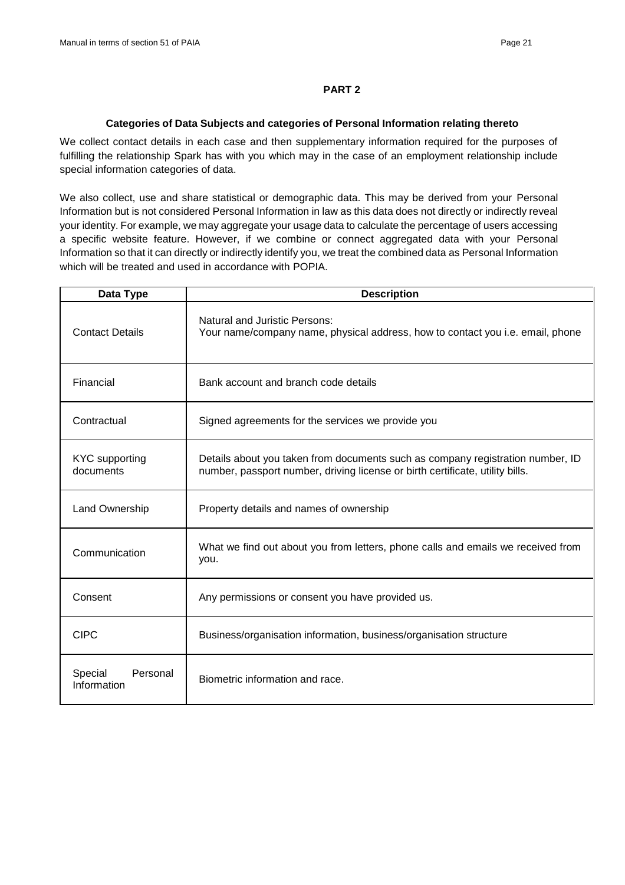#### **PART 2**

#### **Categories of Data Subjects and categories of Personal Information relating thereto**

We collect contact details in each case and then supplementary information required for the purposes of fulfilling the relationship Spark has with you which may in the case of an employment relationship include special information categories of data.

We also collect, use and share statistical or demographic data. This may be derived from your Personal Information but is not considered Personal Information in law as this data does not directly or indirectly reveal your identity. For example, we may aggregate your usage data to calculate the percentage of users accessing a specific website feature. However, if we combine or connect aggregated data with your Personal Information so that it can directly or indirectly identify you, we treat the combined data as Personal Information which will be treated and used in accordance with POPIA.

| Data Type                          | <b>Description</b>                                                                                                                                              |
|------------------------------------|-----------------------------------------------------------------------------------------------------------------------------------------------------------------|
| <b>Contact Details</b>             | <b>Natural and Juristic Persons:</b><br>Your name/company name, physical address, how to contact you i.e. email, phone                                          |
| Financial                          | Bank account and branch code details                                                                                                                            |
| Contractual                        | Signed agreements for the services we provide you                                                                                                               |
| <b>KYC</b> supporting<br>documents | Details about you taken from documents such as company registration number, ID<br>number, passport number, driving license or birth certificate, utility bills. |
| Land Ownership                     | Property details and names of ownership                                                                                                                         |
| Communication                      | What we find out about you from letters, phone calls and emails we received from<br>you.                                                                        |
| Consent                            | Any permissions or consent you have provided us.                                                                                                                |
| <b>CIPC</b>                        | Business/organisation information, business/organisation structure                                                                                              |
| Special<br>Personal<br>Information | Biometric information and race.                                                                                                                                 |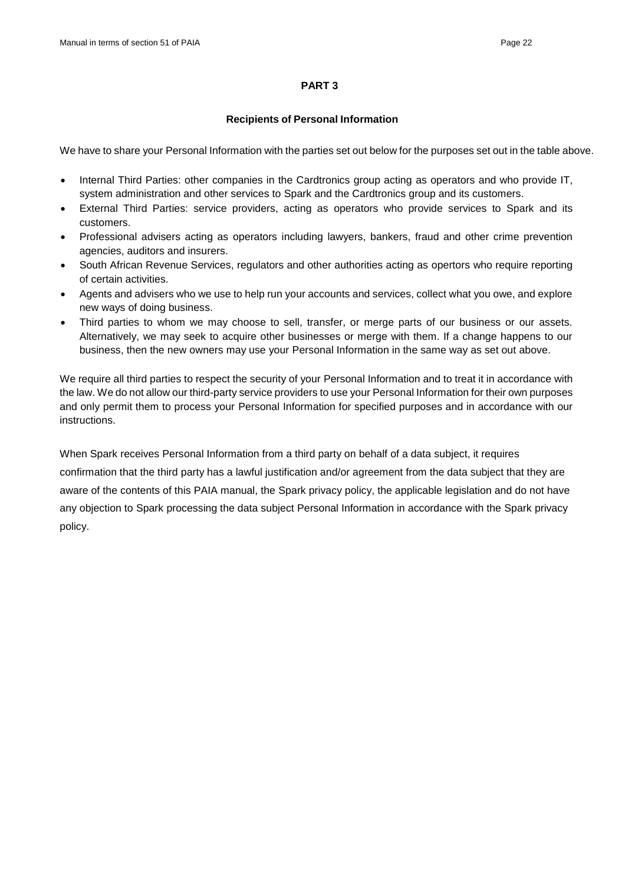### **PART 3**

#### **Recipients of Personal Information**

We have to share your Personal Information with the parties set out below for the purposes set out in the table above.

- Internal Third Parties: other companies in the Cardtronics group acting as operators and who provide IT, system administration and other services to Spark and the Cardtronics group and its customers.
- External Third Parties: service providers, acting as operators who provide services to Spark and its customers.
- Professional advisers acting as operators including lawyers, bankers, fraud and other crime prevention agencies, auditors and insurers.
- South African Revenue Services, regulators and other authorities acting as opertors who require reporting of certain activities.
- Agents and advisers who we use to help run your accounts and services, collect what you owe, and explore new ways of doing business.
- Third parties to whom we may choose to sell, transfer, or merge parts of our business or our assets. Alternatively, we may seek to acquire other businesses or merge with them. If a change happens to our business, then the new owners may use your Personal Information in the same way as set out above.

We require all third parties to respect the security of your Personal Information and to treat it in accordance with the law. We do not allow our third-party service providers to use your Personal Information for their own purposes and only permit them to process your Personal Information for specified purposes and in accordance with our instructions.

When Spark receives Personal Information from a third party on behalf of a data subject, it requires confirmation that the third party has a lawful justification and/or agreement from the data subject that they are aware of the contents of this PAIA manual, the Spark privacy policy, the applicable legislation and do not have any objection to Spark processing the data subject Personal Information in accordance with the Spark privacy policy.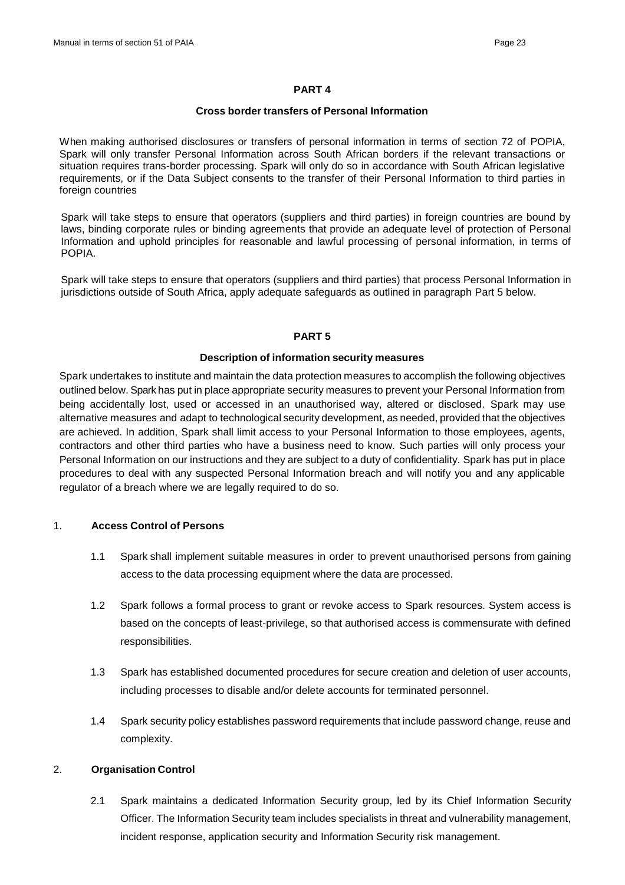#### **PART 4**

#### **Cross border transfers of Personal Information**

When making authorised disclosures or transfers of personal information in terms of section 72 of POPIA, Spark will only transfer Personal Information across South African borders if the relevant transactions or situation requires trans-border processing. Spark will only do so in accordance with South African legislative requirements, or if the Data Subject consents to the transfer of their Personal Information to third parties in foreign countries

Spark will take steps to ensure that operators (suppliers and third parties) in foreign countries are bound by laws, binding corporate rules or binding agreements that provide an adequate level of protection of Personal Information and uphold principles for reasonable and lawful processing of personal information, in terms of POPIA.

Spark will take steps to ensure that operators (suppliers and third parties) that process Personal Information in jurisdictions outside of South Africa, apply adequate safeguards as outlined in paragraph Part 5 below.

#### **PART 5**

#### **Description of information security measures**

Spark undertakes to institute and maintain the data protection measures to accomplish the following objectives outlined below. Spark has put in place appropriate security measures to prevent your Personal Information from being accidentally lost, used or accessed in an unauthorised way, altered or disclosed. Spark may use alternative measures and adapt to technological security development, as needed, provided that the objectives are achieved. In addition, Spark shall limit access to your Personal Information to those employees, agents, contractors and other third parties who have a business need to know. Such parties will only process your Personal Information on our instructions and they are subject to a duty of confidentiality. Spark has put in place procedures to deal with any suspected Personal Information breach and will notify you and any applicable regulator of a breach where we are legally required to do so.

#### 1. **Access Control of Persons**

- 1.1 Spark shall implement suitable measures in order to prevent unauthorised persons from gaining access to the data processing equipment where the data are processed.
- 1.2 Spark follows a formal process to grant or revoke access to Spark resources. System access is based on the concepts of least-privilege, so that authorised access is commensurate with defined responsibilities.
- 1.3 Spark has established documented procedures for secure creation and deletion of user accounts, including processes to disable and/or delete accounts for terminated personnel.
- 1.4 Spark security policy establishes password requirements that include password change, reuse and complexity.

#### 2. **Organisation Control**

2.1 Spark maintains a dedicated Information Security group, led by its Chief Information Security Officer. The Information Security team includes specialists in threat and vulnerability management, incident response, application security and Information Security risk management.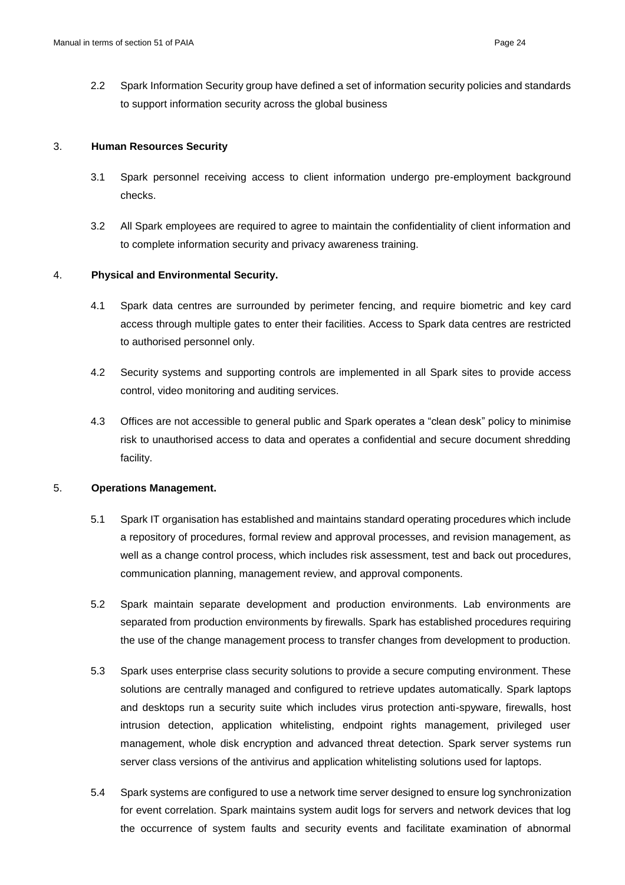2.2 Spark Information Security group have defined a set of information security policies and standards to support information security across the global business

#### 3. **Human Resources Security**

- 3.1 Spark personnel receiving access to client information undergo pre-employment background checks.
- 3.2 All Spark employees are required to agree to maintain the confidentiality of client information and to complete information security and privacy awareness training.

#### 4. **Physical and Environmental Security.**

- 4.1 Spark data centres are surrounded by perimeter fencing, and require biometric and key card access through multiple gates to enter their facilities. Access to Spark data centres are restricted to authorised personnel only.
- 4.2 Security systems and supporting controls are implemented in all Spark sites to provide access control, video monitoring and auditing services.
- 4.3 Offices are not accessible to general public and Spark operates a "clean desk" policy to minimise risk to unauthorised access to data and operates a confidential and secure document shredding facility.

#### 5. **Operations Management.**

- 5.1 Spark IT organisation has established and maintains standard operating procedures which include a repository of procedures, formal review and approval processes, and revision management, as well as a change control process, which includes risk assessment, test and back out procedures, communication planning, management review, and approval components.
- 5.2 Spark maintain separate development and production environments. Lab environments are separated from production environments by firewalls. Spark has established procedures requiring the use of the change management process to transfer changes from development to production.
- 5.3 Spark uses enterprise class security solutions to provide a secure computing environment. These solutions are centrally managed and configured to retrieve updates automatically. Spark laptops and desktops run a security suite which includes virus protection anti-spyware, firewalls, host intrusion detection, application whitelisting, endpoint rights management, privileged user management, whole disk encryption and advanced threat detection. Spark server systems run server class versions of the antivirus and application whitelisting solutions used for laptops.
- 5.4 Spark systems are configured to use a network time server designed to ensure log synchronization for event correlation. Spark maintains system audit logs for servers and network devices that log the occurrence of system faults and security events and facilitate examination of abnormal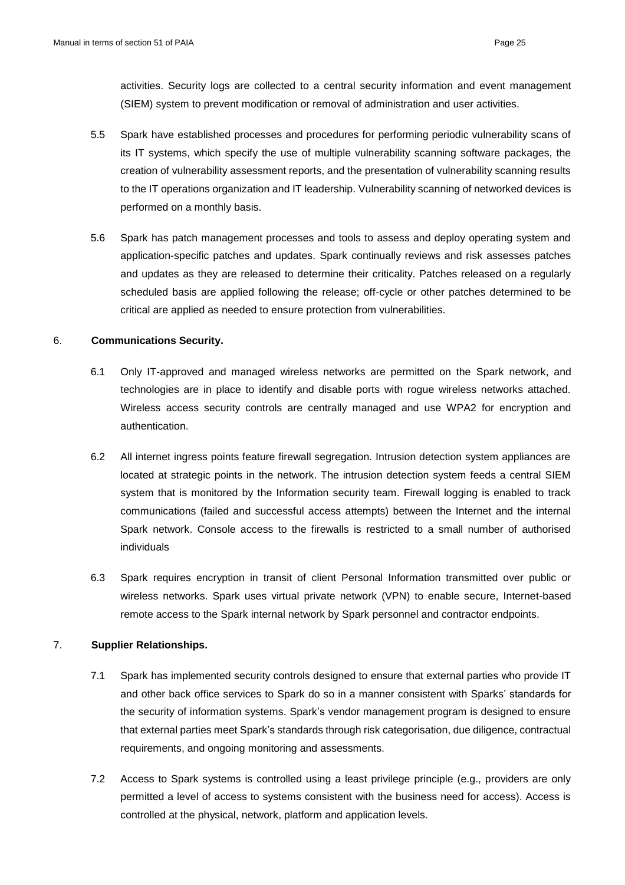activities. Security logs are collected to a central security information and event management (SIEM) system to prevent modification or removal of administration and user activities.

- 5.5 Spark have established processes and procedures for performing periodic vulnerability scans of its IT systems, which specify the use of multiple vulnerability scanning software packages, the creation of vulnerability assessment reports, and the presentation of vulnerability scanning results to the IT operations organization and IT leadership. Vulnerability scanning of networked devices is performed on a monthly basis.
- 5.6 Spark has patch management processes and tools to assess and deploy operating system and application-specific patches and updates. Spark continually reviews and risk assesses patches and updates as they are released to determine their criticality. Patches released on a regularly scheduled basis are applied following the release; off-cycle or other patches determined to be critical are applied as needed to ensure protection from vulnerabilities.

#### 6. **Communications Security.**

- 6.1 Only IT-approved and managed wireless networks are permitted on the Spark network, and technologies are in place to identify and disable ports with rogue wireless networks attached. Wireless access security controls are centrally managed and use WPA2 for encryption and authentication.
- 6.2 All internet ingress points feature firewall segregation. Intrusion detection system appliances are located at strategic points in the network. The intrusion detection system feeds a central SIEM system that is monitored by the Information security team. Firewall logging is enabled to track communications (failed and successful access attempts) between the Internet and the internal Spark network. Console access to the firewalls is restricted to a small number of authorised individuals
- 6.3 Spark requires encryption in transit of client Personal Information transmitted over public or wireless networks. Spark uses virtual private network (VPN) to enable secure, Internet-based remote access to the Spark internal network by Spark personnel and contractor endpoints.

#### 7. **Supplier Relationships.**

- 7.1 Spark has implemented security controls designed to ensure that external parties who provide IT and other back office services to Spark do so in a manner consistent with Sparks' standards for the security of information systems. Spark's vendor management program is designed to ensure that external parties meet Spark's standards through risk categorisation, due diligence, contractual requirements, and ongoing monitoring and assessments.
- 7.2 Access to Spark systems is controlled using a least privilege principle (e.g., providers are only permitted a level of access to systems consistent with the business need for access). Access is controlled at the physical, network, platform and application levels.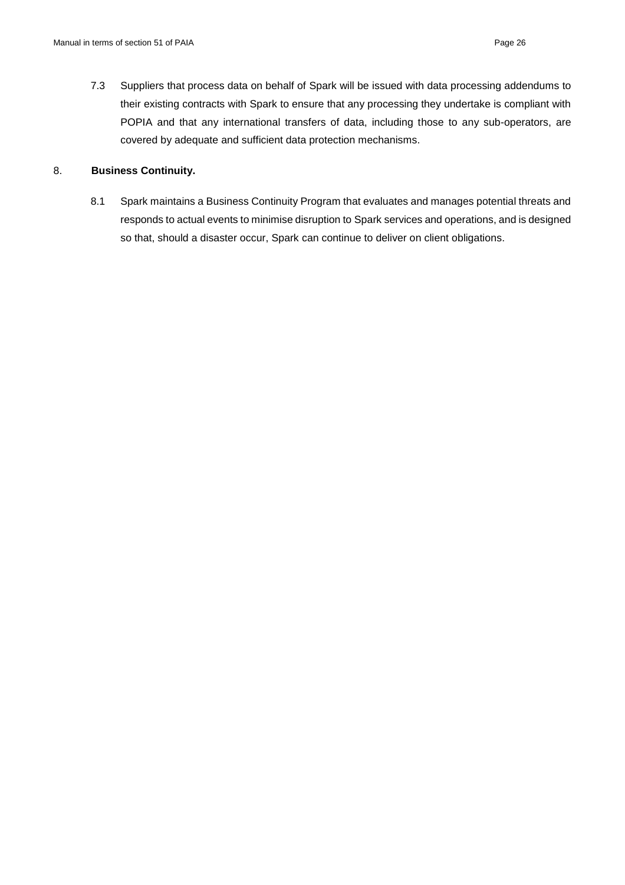7.3 Suppliers that process data on behalf of Spark will be issued with data processing addendums to their existing contracts with Spark to ensure that any processing they undertake is compliant with POPIA and that any international transfers of data, including those to any sub-operators, are covered by adequate and sufficient data protection mechanisms.

#### 8. **Business Continuity.**

8.1 Spark maintains a Business Continuity Program that evaluates and manages potential threats and responds to actual events to minimise disruption to Spark services and operations, and is designed so that, should a disaster occur, Spark can continue to deliver on client obligations.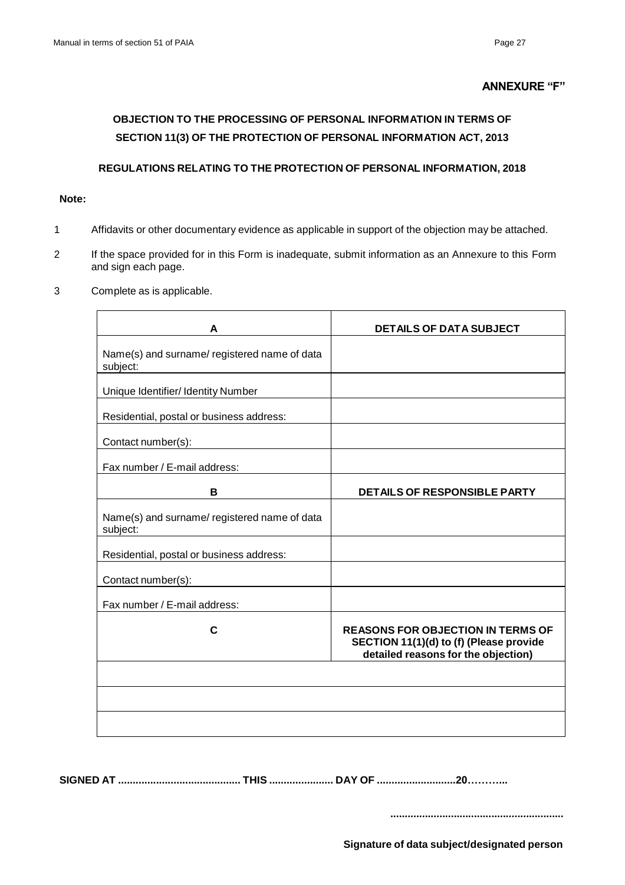#### **ANNEXURE "F"**

# **OBJECTION TO THE PROCESSING OF PERSONAL INFORMATION IN TERMS OF SECTION 11(3) OF THE PROTECTION OF PERSONAL INFORMATION ACT, 2013**

#### **REGULATIONS RELATING TO THE PROTECTION OF PERSONAL INFORMATION, 2018**

#### **Note:**

- 1 Affidavits or other documentary evidence as applicable in support of the objection may be attached.
- 2 If the space provided for in this Form is inadequate, submit information as an Annexure to this Form and sign each page.
- 3 Complete as is applicable.

| A                                                        | <b>DETAILS OF DATA SUBJECT</b>                                                                                             |
|----------------------------------------------------------|----------------------------------------------------------------------------------------------------------------------------|
| Name(s) and surname/ registered name of data<br>subject: |                                                                                                                            |
| Unique Identifier/ Identity Number                       |                                                                                                                            |
| Residential, postal or business address:                 |                                                                                                                            |
| Contact number(s):                                       |                                                                                                                            |
| Fax number / E-mail address:                             |                                                                                                                            |
| в                                                        | <b>DETAILS OF RESPONSIBLE PARTY</b>                                                                                        |
| Name(s) and surname/ registered name of data<br>subject: |                                                                                                                            |
| Residential, postal or business address:                 |                                                                                                                            |
| Contact number(s):                                       |                                                                                                                            |
| Fax number / E-mail address:                             |                                                                                                                            |
| C                                                        | <b>REASONS FOR OBJECTION IN TERMS OF</b><br>SECTION 11(1)(d) to (f) (Please provide<br>detailed reasons for the objection) |
|                                                          |                                                                                                                            |
|                                                          |                                                                                                                            |
|                                                          |                                                                                                                            |

**SIGNED AT .......................................... THIS ...................... DAY OF ...........................20………...**

**............................................................**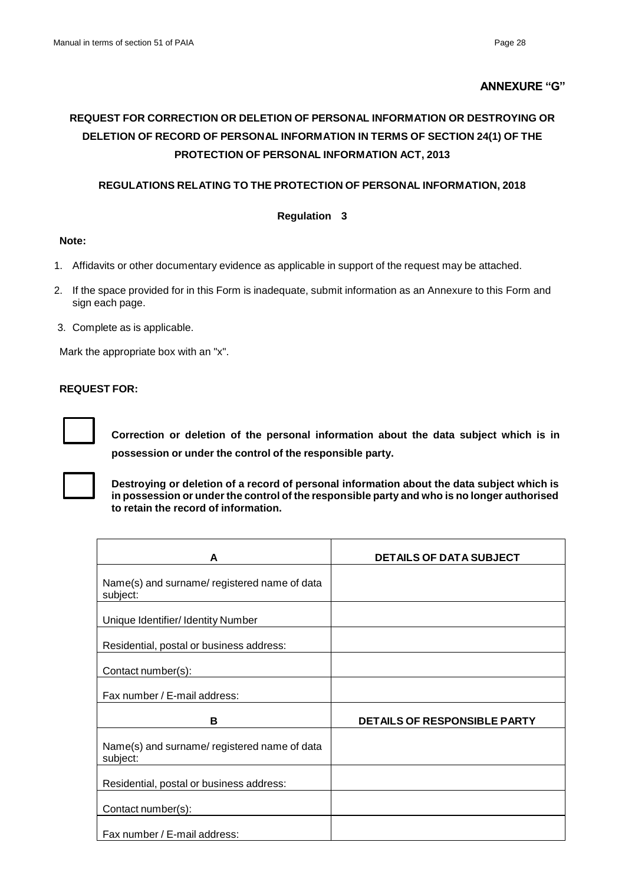#### **ANNEXURE "G"**

# **REQUEST FOR CORRECTION OR DELETION OF PERSONAL INFORMATION OR DESTROYING OR DELETION OF RECORD OF PERSONAL INFORMATION IN TERMS OF SECTION 24(1) OF THE PROTECTION OF PERSONAL INFORMATION ACT, 2013**

### **REGULATIONS RELATING TO THE PROTECTION OF PERSONAL INFORMATION, 2018**

#### **Regulation 3**

#### **Note:**

- 1. Affidavits or other documentary evidence as applicable in support of the request may be attached.
- 2. If the space provided for in this Form is inadequate, submit information as an Annexure to this Form and sign each page.
- 3. Complete as is applicable.

Mark the appropriate box with an "x".

#### **REQUEST FOR:**



**Correction or deletion of the personal information about the data subject which is in possession or under the control of the responsible party.**



**Destroying or deletion of a record of personal information about the data subject which is in possession or under the control of the responsible party and who is no longer authorised to retain the record of information.**

| A                                                        | <b>DETAILS OF DATA SUBJECT</b> |
|----------------------------------------------------------|--------------------------------|
| Name(s) and surname/registered name of data<br>subject:  |                                |
| Unique Identifier/ Identity Number                       |                                |
| Residential, postal or business address:                 |                                |
| Contact number(s):                                       |                                |
| Fax number / E-mail address:                             |                                |
| в                                                        | DETAILS OF RESPONSIBLE PARTY   |
| Name(s) and surname/ registered name of data<br>subject: |                                |
| Residential, postal or business address:                 |                                |
| Contact number(s):                                       |                                |
| Fax number / E-mail address:                             |                                |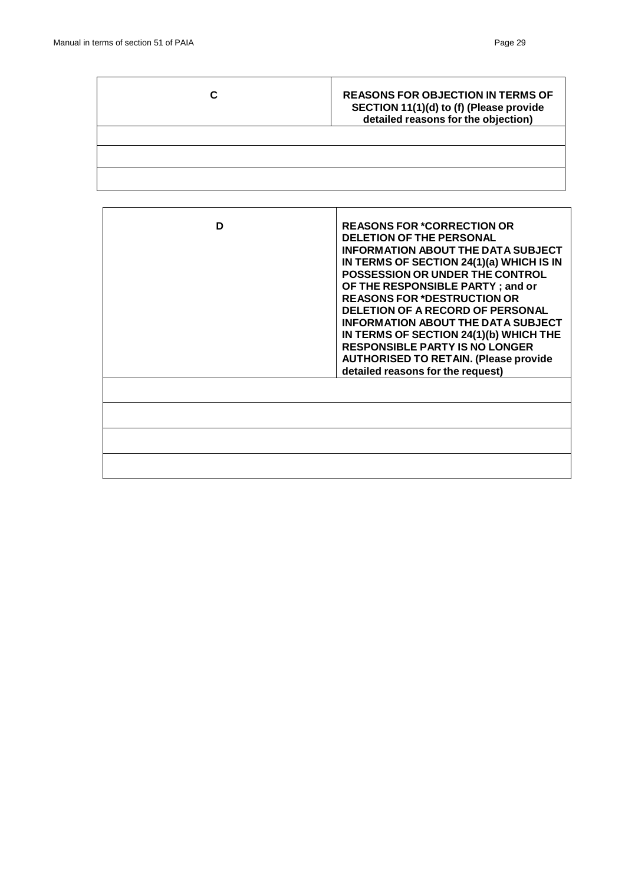| <b>REASONS FOR OBJECTION IN TERMS OF</b><br>SECTION 11(1)(d) to (f) (Please provide<br>detailed reasons for the objection) |
|----------------------------------------------------------------------------------------------------------------------------|
|                                                                                                                            |
|                                                                                                                            |
|                                                                                                                            |

| D | <b>REASONS FOR *CORRECTION OR</b><br><b>DELETION OF THE PERSONAL</b><br><b>INFORMATION ABOUT THE DATA SUBJECT</b><br>IN TERMS OF SECTION 24(1)(a) WHICH IS IN<br><b>POSSESSION OR UNDER THE CONTROL</b><br>OF THE RESPONSIBLE PARTY; and or<br><b>REASONS FOR *DESTRUCTION OR</b><br><b>DELETION OF A RECORD OF PERSONAL</b><br><b>INFORMATION ABOUT THE DATA SUBJECT</b><br>IN TERMS OF SECTION 24(1)(b) WHICH THE<br><b>RESPONSIBLE PARTY IS NO LONGER</b><br><b>AUTHORISED TO RETAIN. (Please provide</b><br>detailed reasons for the request) |
|---|---------------------------------------------------------------------------------------------------------------------------------------------------------------------------------------------------------------------------------------------------------------------------------------------------------------------------------------------------------------------------------------------------------------------------------------------------------------------------------------------------------------------------------------------------|
|   |                                                                                                                                                                                                                                                                                                                                                                                                                                                                                                                                                   |
|   |                                                                                                                                                                                                                                                                                                                                                                                                                                                                                                                                                   |
|   |                                                                                                                                                                                                                                                                                                                                                                                                                                                                                                                                                   |
|   |                                                                                                                                                                                                                                                                                                                                                                                                                                                                                                                                                   |